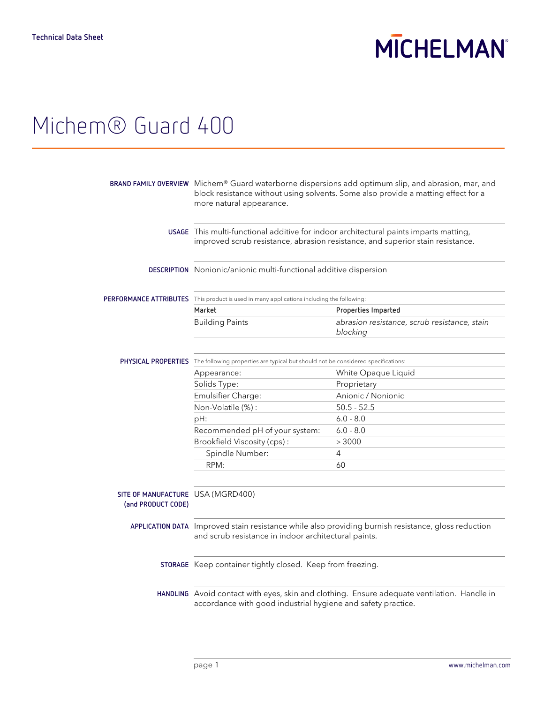# **MICHELMAN**

## Michem® Guard 400

|                                                         | BRAND FAMILY OVERVIEW Michem® Guard waterborne dispersions add optimum slip, and abrasion, mar, and<br>block resistance without using solvents. Some also provide a matting effect for a<br>more natural appearance.<br>USAGE This multi-functional additive for indoor architectural paints imparts matting,<br>improved scrub resistance, abrasion resistance, and superior stain resistance. |                                                          |
|---------------------------------------------------------|-------------------------------------------------------------------------------------------------------------------------------------------------------------------------------------------------------------------------------------------------------------------------------------------------------------------------------------------------------------------------------------------------|----------------------------------------------------------|
|                                                         |                                                                                                                                                                                                                                                                                                                                                                                                 |                                                          |
|                                                         | DESCRIPTION Nonionic/anionic multi-functional additive dispersion                                                                                                                                                                                                                                                                                                                               |                                                          |
|                                                         | PERFORMANCE ATTRIBUTES This product is used in many applications including the following:                                                                                                                                                                                                                                                                                                       |                                                          |
|                                                         | Market                                                                                                                                                                                                                                                                                                                                                                                          | Properties Imparted                                      |
|                                                         | <b>Building Paints</b>                                                                                                                                                                                                                                                                                                                                                                          | abrasion resistance, scrub resistance, stain<br>blocking |
|                                                         | PHYSICAL PROPERTIES The following properties are typical but should not be considered specifications:                                                                                                                                                                                                                                                                                           |                                                          |
|                                                         | Appearance:                                                                                                                                                                                                                                                                                                                                                                                     | White Opaque Liquid                                      |
|                                                         | Solids Type:                                                                                                                                                                                                                                                                                                                                                                                    | Proprietary                                              |
|                                                         | Emulsifier Charge:                                                                                                                                                                                                                                                                                                                                                                              | Anionic / Nonionic                                       |
|                                                         | Non-Volatile (%):                                                                                                                                                                                                                                                                                                                                                                               | $50.5 - 52.5$                                            |
|                                                         | pH:                                                                                                                                                                                                                                                                                                                                                                                             | $6.0 - 8.0$                                              |
|                                                         | Recommended pH of your system:                                                                                                                                                                                                                                                                                                                                                                  | $6.0 - 8.0$                                              |
|                                                         | Brookfield Viscosity (cps):                                                                                                                                                                                                                                                                                                                                                                     | > 3000                                                   |
|                                                         | Spindle Number:                                                                                                                                                                                                                                                                                                                                                                                 | 4                                                        |
|                                                         | RPM:                                                                                                                                                                                                                                                                                                                                                                                            | 60                                                       |
| SITE OF MANUFACTURE USA (MGRD400)<br>(and PRODUCT CODE) |                                                                                                                                                                                                                                                                                                                                                                                                 |                                                          |
|                                                         | APPLICATION DATA Improved stain resistance while also providing burnish resistance, gloss reduction<br>and scrub resistance in indoor architectural paints.                                                                                                                                                                                                                                     |                                                          |
|                                                         | STORAGE Keep container tightly closed. Keep from freezing.                                                                                                                                                                                                                                                                                                                                      |                                                          |
|                                                         | HANDLING Avoid contact with eyes, skin and clothing. Ensure adequate ventilation. Handle in<br>accordance with good industrial hygiene and safety practice.                                                                                                                                                                                                                                     |                                                          |